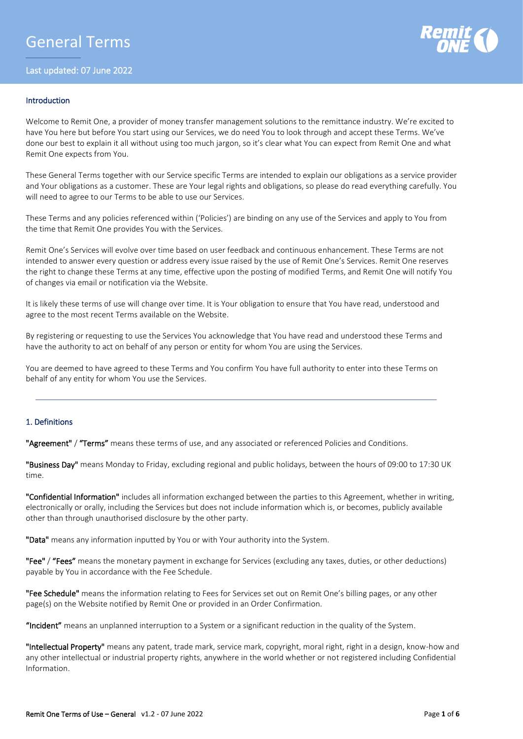

## Introduction

Welcome to Remit One, a provider of money transfer management solutions to the remittance industry. We're excited to have You here but before You start using our Services, we do need You to look through and accept these Terms. We've done our best to explain it all without using too much jargon, so it's clear what You can expect from Remit One and what Remit One expects from You.

These General Terms together with our Service specific Terms are intended to explain our obligations as a service provider and Your obligations as a customer. These are Your legal rights and obligations, so please do read everything carefully. You will need to agree to our Terms to be able to use our Services.

These Terms and any policies referenced within ('Policies') are binding on any use of the Services and apply to You from the time that Remit One provides You with the Services.

Remit One's Services will evolve over time based on user feedback and continuous enhancement. These Terms are not intended to answer every question or address every issue raised by the use of Remit One's Services. Remit One reserves the right to change these Terms at any time, effective upon the posting of modified Terms, and Remit One will notify You of changes via email or notification via the Website.

It is likely these terms of use will change over time. It is Your obligation to ensure that You have read, understood and agree to the most recent Terms available on the Website.

By registering or requesting to use the Services You acknowledge that You have read and understood these Terms and have the authority to act on behalf of any person or entity for whom You are using the Services.

You are deemed to have agreed to these Terms and You confirm You have full authority to enter into these Terms on behalf of any entity for whom You use the Services.

# 1. Definitions

"Agreement" / "Terms" means these terms of use, and any associated or referenced Policies and Conditions.

"Business Day" means Monday to Friday, excluding regional and public holidays, between the hours of 09:00 to 17:30 UK time.

"Confidential Information" includes all information exchanged between the parties to this Agreement, whether in writing, electronically or orally, including the Services but does not include information which is, or becomes, publicly available other than through unauthorised disclosure by the other party.

"Data" means any information inputted by You or with Your authority into the System.

"Fee" / "Fees" means the monetary payment in exchange for Services (excluding any taxes, duties, or other deductions) payable by You in accordance with the Fee Schedule.

"Fee Schedule" means the information relating to Fees for Services set out on Remit One's billing pages, or any other page(s) on the Website notified by Remit One or provided in an Order Confirmation.

"Incident" means an unplanned interruption to a System or a significant reduction in the quality of the System.

"Intellectual Property" means any patent, trade mark, service mark, copyright, moral right, right in a design, know-how and any other intellectual or industrial property rights, anywhere in the world whether or not registered including Confidential Information.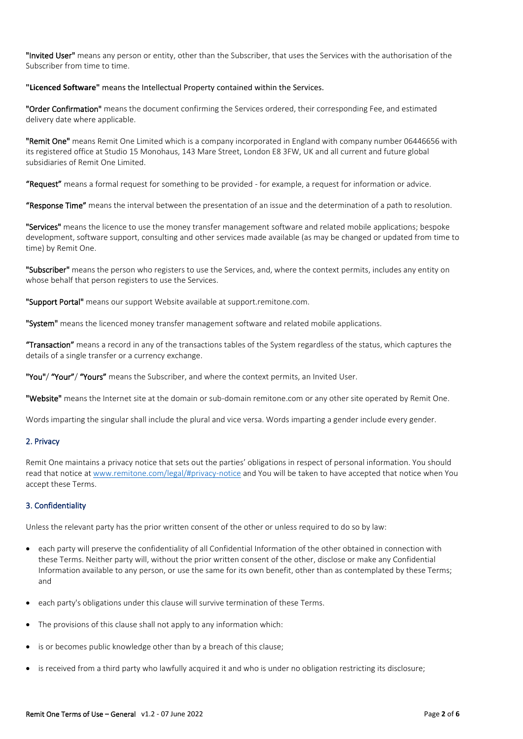"Invited User" means any person or entity, other than the Subscriber, that uses the Services with the authorisation of the Subscriber from time to time.

# **"Licenced Software"** means the Intellectual Property contained within the Services.

"Order Confirmation" means the document confirming the Services ordered, their corresponding Fee, and estimated delivery date where applicable.

"Remit One" means Remit One Limited which is a company incorporated in England with company number 06446656 with its registered office at Studio 15 Monohaus, 143 Mare Street, London E8 3FW, UK and all current and future global subsidiaries of Remit One Limited.

"Request" means a formal request for something to be provided - for example, a request for information or advice.

"Response Time" means the interval between the presentation of an issue and the determination of a path to resolution.

"Services" means the licence to use the money transfer management software and related mobile applications; bespoke development, software support, consulting and other services made available (as may be changed or updated from time to time) by Remit One.

"Subscriber" means the person who registers to use the Services, and, where the context permits, includes any entity on whose behalf that person registers to use the Services.

"Support Portal" means our support Website available at support.remitone.com.

"System" means the licenced money transfer management software and related mobile applications.

"Transaction" means a record in any of the transactions tables of the System regardless of the status, which captures the details of a single transfer or a currency exchange.

"You"/ "Your"/ "Yours" means the Subscriber, and where the context permits, an Invited User.

"Website" means the Internet site at the domain or sub-domain remitone.com or any other site operated by Remit One.

Words imparting the singular shall include the plural and vice versa. Words imparting a gender include every gender.

# 2. Privacy

Remit One maintains a privacy notice that sets out the parties' obligations in respect of personal information. You should read that notice at [www.remitone.com/legal/#privacy-notice](http://www.remitone.com/legal/policies/privacy/) and You will be taken to have accepted that notice when You accept these Terms.

# 3. Confidentiality

Unless the relevant party has the prior written consent of the other or unless required to do so by law:

- each party will preserve the confidentiality of all Confidential Information of the other obtained in connection with these Terms. Neither party will, without the prior written consent of the other, disclose or make any Confidential Information available to any person, or use the same for its own benefit, other than as contemplated by these Terms; and
- each party's obligations under this clause will survive termination of these Terms.
- The provisions of this clause shall not apply to any information which:
- is or becomes public knowledge other than by a breach of this clause;
- is received from a third party who lawfully acquired it and who is under no obligation restricting its disclosure;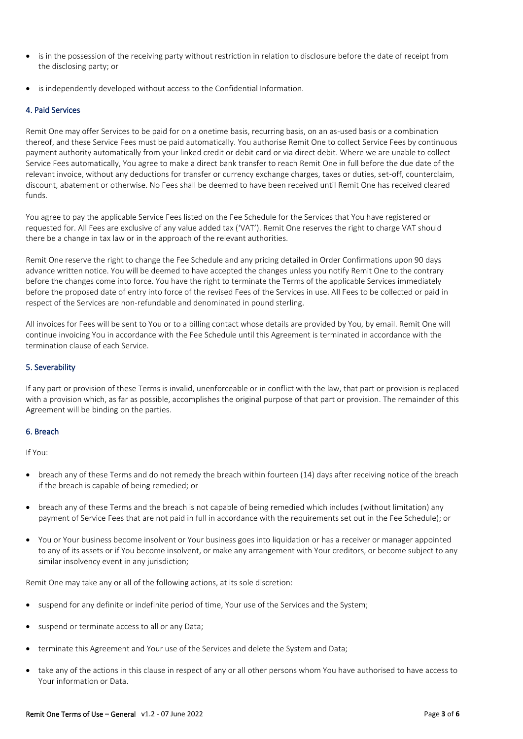- is in the possession of the receiving party without restriction in relation to disclosure before the date of receipt from the disclosing party; or
- is independently developed without access to the Confidential Information.

# 4. Paid Services

Remit One may offer Services to be paid for on a onetime basis, recurring basis, on an as-used basis or a combination thereof, and these Service Fees must be paid automatically. You authorise Remit One to collect Service Fees by continuous payment authority automatically from your linked credit or debit card or via direct debit. Where we are unable to collect Service Fees automatically, You agree to make a direct bank transfer to reach Remit One in full before the due date of the relevant invoice, without any deductions for transfer or currency exchange charges, taxes or duties, set-off, counterclaim, discount, abatement or otherwise. No Fees shall be deemed to have been received until Remit One has received cleared funds.

You agree to pay the applicable Service Fees listed on the Fee Schedule for the Services that You have registered or requested for. All Fees are exclusive of any value added tax ('VAT'). Remit One reserves the right to charge VAT should there be a change in tax law or in the approach of the relevant authorities.

Remit One reserve the right to change the Fee Schedule and any pricing detailed in Order Confirmations upon 90 days advance written notice. You will be deemed to have accepted the changes unless you notify Remit One to the contrary before the changes come into force. You have the right to terminate the Terms of the applicable Services immediately before the proposed date of entry into force of the revised Fees of the Services in use. All Fees to be collected or paid in respect of the Services are non-refundable and denominated in pound sterling.

All invoices for Fees will be sent to You or to a billing contact whose details are provided by You, by email. Remit One will continue invoicing You in accordance with the Fee Schedule until this Agreement is terminated in accordance with the termination clause of each Service.

# 5. Severability

If any part or provision of these Terms is invalid, unenforceable or in conflict with the law, that part or provision is replaced with a provision which, as far as possible, accomplishes the original purpose of that part or provision. The remainder of this Agreement will be binding on the parties.

# 6. Breach

If You:

- breach any of these Terms and do not remedy the breach within fourteen (14) days after receiving notice of the breach if the breach is capable of being remedied; or
- breach any of these Terms and the breach is not capable of being remedied which includes (without limitation) any payment of Service Fees that are not paid in full in accordance with the requirements set out in the Fee Schedule); or
- You or Your business become insolvent or Your business goes into liquidation or has a receiver or manager appointed to any of its assets or if You become insolvent, or make any arrangement with Your creditors, or become subject to any similar insolvency event in any jurisdiction;

Remit One may take any or all of the following actions, at its sole discretion:

- suspend for any definite or indefinite period of time, Your use of the Services and the System;
- suspend or terminate access to all or any Data;
- terminate this Agreement and Your use of the Services and delete the System and Data;
- take any of the actions in this clause in respect of any or all other persons whom You have authorised to have access to Your information or Data.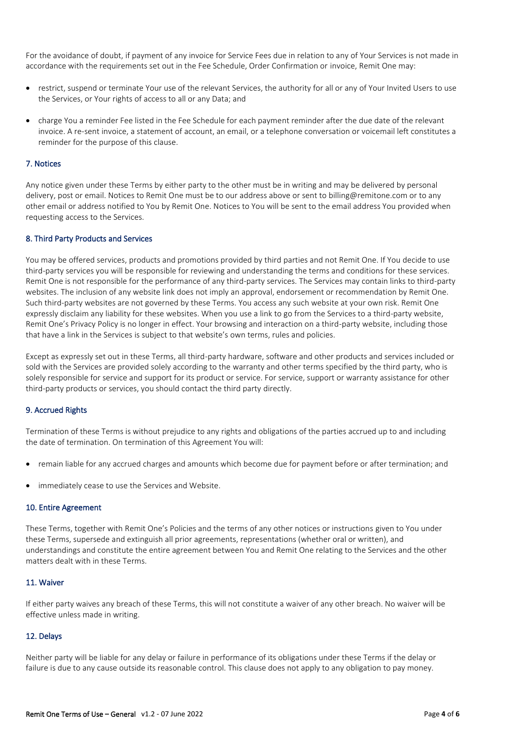For the avoidance of doubt, if payment of any invoice for Service Fees due in relation to any of Your Services is not made in accordance with the requirements set out in the Fee Schedule, Order Confirmation or invoice, Remit One may:

- restrict, suspend or terminate Your use of the relevant Services, the authority for all or any of Your Invited Users to use the Services, or Your rights of access to all or any Data; and
- charge You a reminder Fee listed in the Fee Schedule for each payment reminder after the due date of the relevant invoice. A re-sent invoice, a statement of account, an email, or a telephone conversation or voicemail left constitutes a reminder for the purpose of this clause.

# 7. Notices

Any notice given under these Terms by either party to the other must be in writing and may be delivered by personal delivery, post or email. Notices to Remit One must be to our address above or sent to billing@remitone.com or to any other email or address notified to You by Remit One. Notices to You will be sent to the email address You provided when requesting access to the Services.

## 8. Third Party Products and Services

You may be offered services, products and promotions provided by third parties and not Remit One. If You decide to use third-party services you will be responsible for reviewing and understanding the terms and conditions for these services. Remit One is not responsible for the performance of any third-party services. The Services may contain links to third-party websites. The inclusion of any website link does not imply an approval, endorsement or recommendation by Remit One. Such third-party websites are not governed by these Terms. You access any such website at your own risk. Remit One expressly disclaim any liability for these websites. When you use a link to go from the Services to a third-party website, Remit One's Privacy Policy is no longer in effect. Your browsing and interaction on a third-party website, including those that have a link in the Services is subject to that website's own terms, rules and policies.

Except as expressly set out in these Terms, all third-party hardware, software and other products and services included or sold with the Services are provided solely according to the warranty and other terms specified by the third party, who is solely responsible for service and support for its product or service. For service, support or warranty assistance for other third-party products or services, you should contact the third party directly.

# 9. Accrued Rights

Termination of these Terms is without prejudice to any rights and obligations of the parties accrued up to and including the date of termination. On termination of this Agreement You will:

- remain liable for any accrued charges and amounts which become due for payment before or after termination; and
- immediately cease to use the Services and Website.

### 10. Entire Agreement

These Terms, together with Remit One's Policies and the terms of any other notices or instructions given to You under these Terms, supersede and extinguish all prior agreements, representations (whether oral or written), and understandings and constitute the entire agreement between You and Remit One relating to the Services and the other matters dealt with in these Terms.

# 11. Waiver

If either party waives any breach of these Terms, this will not constitute a waiver of any other breach. No waiver will be effective unless made in writing.

#### 12. Delays

Neither party will be liable for any delay or failure in performance of its obligations under these Terms if the delay or failure is due to any cause outside its reasonable control. This clause does not apply to any obligation to pay money.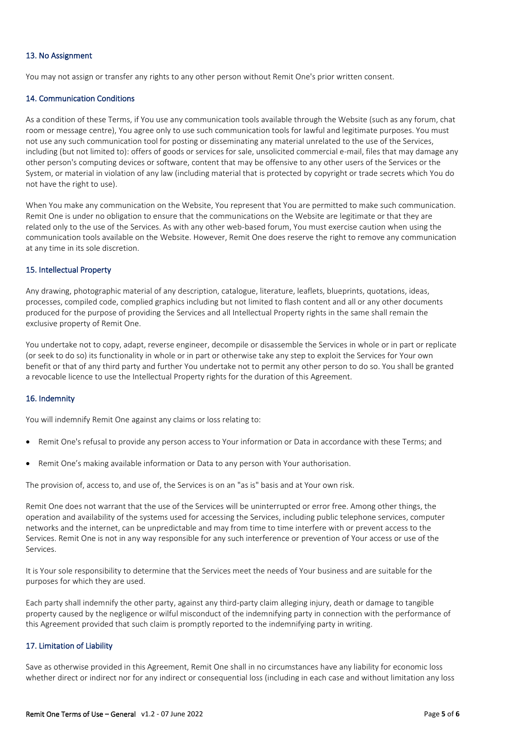# 13. No Assignment

You may not assign or transfer any rights to any other person without Remit One's prior written consent.

# 14. Communication Conditions

As a condition of these Terms, if You use any communication tools available through the Website (such as any forum, chat room or message centre), You agree only to use such communication tools for lawful and legitimate purposes. You must not use any such communication tool for posting or disseminating any material unrelated to the use of the Services, including (but not limited to): offers of goods or services for sale, unsolicited commercial e-mail, files that may damage any other person's computing devices or software, content that may be offensive to any other users of the Services or the System, or material in violation of any law (including material that is protected by copyright or trade secrets which You do not have the right to use).

When You make any communication on the Website, You represent that You are permitted to make such communication. Remit One is under no obligation to ensure that the communications on the Website are legitimate or that they are related only to the use of the Services. As with any other web-based forum, You must exercise caution when using the communication tools available on the Website. However, Remit One does reserve the right to remove any communication at any time in its sole discretion.

# 15. Intellectual Property

Any drawing, photographic material of any description, catalogue, literature, leaflets, blueprints, quotations, ideas, processes, compiled code, complied graphics including but not limited to flash content and all or any other documents produced for the purpose of providing the Services and all Intellectual Property rights in the same shall remain the exclusive property of Remit One.

You undertake not to copy, adapt, reverse engineer, decompile or disassemble the Services in whole or in part or replicate (or seek to do so) its functionality in whole or in part or otherwise take any step to exploit the Services for Your own benefit or that of any third party and further You undertake not to permit any other person to do so. You shall be granted a revocable licence to use the Intellectual Property rights for the duration of this Agreement.

# 16. Indemnity

You will indemnify Remit One against any claims or loss relating to:

- Remit One's refusal to provide any person access to Your information or Data in accordance with these Terms; and
- Remit One's making available information or Data to any person with Your authorisation.

The provision of, access to, and use of, the Services is on an "as is" basis and at Your own risk.

Remit One does not warrant that the use of the Services will be uninterrupted or error free. Among other things, the operation and availability of the systems used for accessing the Services, including public telephone services, computer networks and the internet, can be unpredictable and may from time to time interfere with or prevent access to the Services. Remit One is not in any way responsible for any such interference or prevention of Your access or use of the Services.

It is Your sole responsibility to determine that the Services meet the needs of Your business and are suitable for the purposes for which they are used.

Each party shall indemnify the other party, against any third-party claim alleging injury, death or damage to tangible property caused by the negligence or wilful misconduct of the indemnifying party in connection with the performance of this Agreement provided that such claim is promptly reported to the indemnifying party in writing.

# 17. Limitation of Liability

Save as otherwise provided in this Agreement, Remit One shall in no circumstances have any liability for economic loss whether direct or indirect nor for any indirect or consequential loss (including in each case and without limitation any loss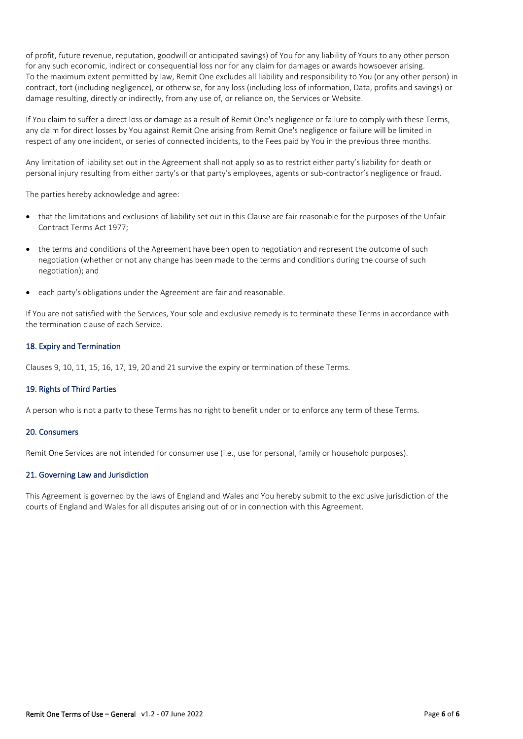of profit, future revenue, reputation, goodwill or anticipated savings) of You for any liability of Yours to any other person for any such economic, indirect or consequential loss nor for any claim for damages or awards howsoever arising. To the maximum extent permitted by law, Remit One excludes all liability and responsibility to You (or any other person) in contract, tort (including negligence), or otherwise, for any loss (including loss of information, Data, profits and savings) or damage resulting, directly or indirectly, from any use of, or reliance on, the Services or Website.

If You claim to suffer a direct loss or damage as a result of Remit One's negligence or failure to comply with these Terms, any claim for direct losses by You against Remit One arising from Remit One's negligence or failure will be limited in respect of any one incident, or series of connected incidents, to the Fees paid by You in the previous three months.

Any limitation of liability set out in the Agreement shall not apply so as to restrict either party's liability for death or personal injury resulting from either party's or that party's employees, agents or sub-contractor's negligence or fraud.

The parties hereby acknowledge and agree:

- that the limitations and exclusions of liability set out in this Clause are fair reasonable for the purposes of the Unfair Contract Terms Act 1977;
- the terms and conditions of the Agreement have been open to negotiation and represent the outcome of such negotiation (whether or not any change has been made to the terms and conditions during the course of such negotiation); and
- each party's obligations under the Agreement are fair and reasonable.

If You are not satisfied with the Services, Your sole and exclusive remedy is to terminate these Terms in accordance with the termination clause of each Service.

## 18. Expiry and Termination

Clauses 9, 10, 11, 15, 16, 17, 19, 20 and 21 survive the expiry or termination of these Terms.

# 19. Rights of Third Parties

A person who is not a party to these Terms has no right to benefit under or to enforce any term of these Terms.

#### 20. Consumers

Remit One Services are not intended for consumer use (i.e., use for personal, family or household purposes).

# 21. Governing Law and Jurisdiction

This Agreement is governed by the laws of England and Wales and You hereby submit to the exclusive jurisdiction of the courts of England and Wales for all disputes arising out of or in connection with this Agreement.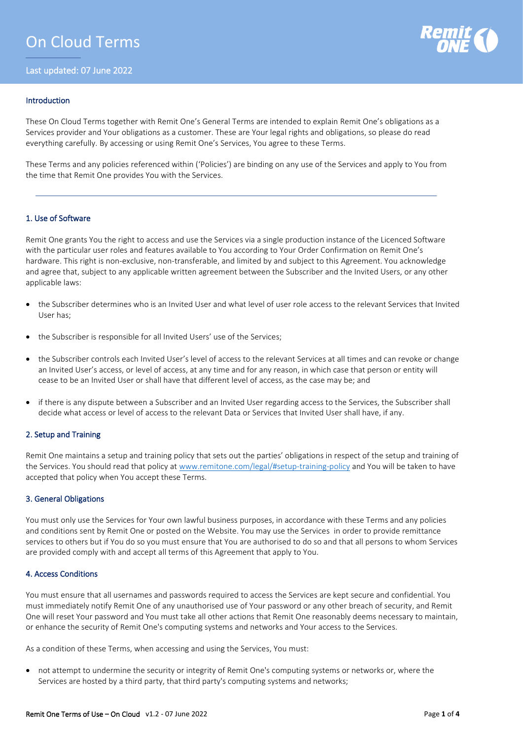# On Cloud Terms

Last updated: 07 June 2022



## Introduction

These On Cloud Terms together with Remit One's General Terms are intended to explain Remit One's obligations as a Services provider and Your obligations as a customer. These are Your legal rights and obligations, so please do read everything carefully. By accessing or using Remit One's Services, You agree to these Terms.

These Terms and any policies referenced within ('Policies') are binding on any use of the Services and apply to You from the time that Remit One provides You with the Services.

# 1. Use of Software

Remit One grants You the right to access and use the Services via a single production instance of the Licenced Software with the particular user roles and features available to You according to Your Order Confirmation on Remit One's hardware. This right is non-exclusive, non-transferable, and limited by and subject to this Agreement. You acknowledge and agree that, subject to any applicable written agreement between the Subscriber and the Invited Users, or any other applicable laws:

- the Subscriber determines who is an Invited User and what level of user role access to the relevant Services that Invited User has;
- the Subscriber is responsible for all Invited Users' use of the Services;
- the Subscriber controls each Invited User's level of access to the relevant Services at all times and can revoke or change an Invited User's access, or level of access, at any time and for any reason, in which case that person or entity will cease to be an Invited User or shall have that different level of access, as the case may be; and
- if there is any dispute between a Subscriber and an Invited User regarding access to the Services, the Subscriber shall decide what access or level of access to the relevant Data or Services that Invited User shall have, if any.

#### 2. Setup and Training

Remit One maintains a setup and training policy that sets out the parties' obligations in respect of the setup and training of the Services. You should read that policy at [www.remitone.com/legal/#setup-training-policy](http://www.remitone.com/legal/policies/setup) and You will be taken to have accepted that policy when You accept these Terms.

#### 3. General Obligations

You must only use the Services for Your own lawful business purposes, in accordance with these Terms and any policies and conditions sent by Remit One or posted on the Website. You may use the Services in order to provide remittance services to others but if You do so you must ensure that You are authorised to do so and that all persons to whom Services are provided comply with and accept all terms of this Agreement that apply to You.

#### 4. Access Conditions

You must ensure that all usernames and passwords required to access the Services are kept secure and confidential. You must immediately notify Remit One of any unauthorised use of Your password or any other breach of security, and Remit One will reset Your password and You must take all other actions that Remit One reasonably deems necessary to maintain, or enhance the security of Remit One's computing systems and networks and Your access to the Services.

As a condition of these Terms, when accessing and using the Services, You must:

• not attempt to undermine the security or integrity of Remit One's computing systems or networks or, where the Services are hosted by a third party, that third party's computing systems and networks;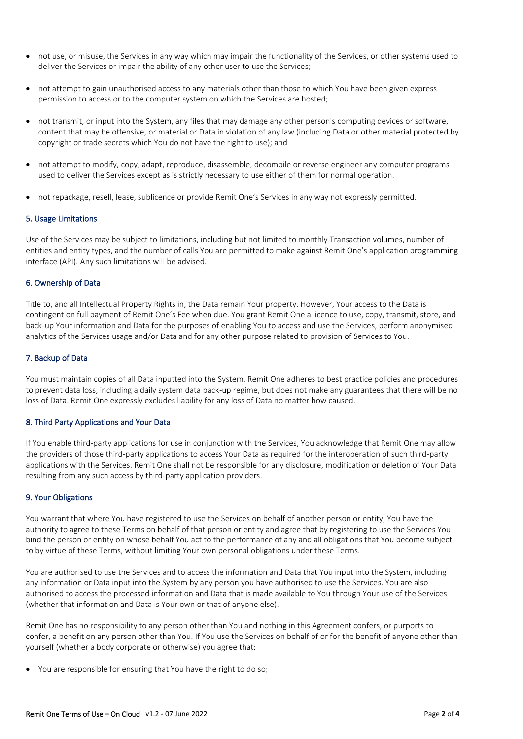- not use, or misuse, the Services in any way which may impair the functionality of the Services, or other systems used to deliver the Services or impair the ability of any other user to use the Services;
- not attempt to gain unauthorised access to any materials other than those to which You have been given express permission to access or to the computer system on which the Services are hosted;
- not transmit, or input into the System, any files that may damage any other person's computing devices or software, content that may be offensive, or material or Data in violation of any law (including Data or other material protected by copyright or trade secrets which You do not have the right to use); and
- not attempt to modify, copy, adapt, reproduce, disassemble, decompile or reverse engineer any computer programs used to deliver the Services except as is strictly necessary to use either of them for normal operation.
- not repackage, resell, lease, sublicence or provide Remit One's Services in any way not expressly permitted.

# 5. Usage Limitations

Use of the Services may be subject to limitations, including but not limited to monthly Transaction volumes, number of entities and entity types, and the number of calls You are permitted to make against Remit One's application programming interface (API). Any such limitations will be advised.

## 6. Ownership of Data

Title to, and all Intellectual Property Rights in, the Data remain Your property. However, Your access to the Data is contingent on full payment of Remit One's Fee when due. You grant Remit One a licence to use, copy, transmit, store, and back-up Your information and Data for the purposes of enabling You to access and use the Services, perform anonymised analytics of the Services usage and/or Data and for any other purpose related to provision of Services to You.

# 7. Backup of Data

You must maintain copies of all Data inputted into the System. Remit One adheres to best practice policies and procedures to prevent data loss, including a daily system data back-up regime, but does not make any guarantees that there will be no loss of Data. Remit One expressly excludes liability for any loss of Data no matter how caused.

# 8. Third Party Applications and Your Data

If You enable third-party applications for use in conjunction with the Services, You acknowledge that Remit One may allow the providers of those third-party applications to access Your Data as required for the interoperation of such third-party applications with the Services. Remit One shall not be responsible for any disclosure, modification or deletion of Your Data resulting from any such access by third-party application providers.

#### 9. Your Obligations

You warrant that where You have registered to use the Services on behalf of another person or entity, You have the authority to agree to these Terms on behalf of that person or entity and agree that by registering to use the Services You bind the person or entity on whose behalf You act to the performance of any and all obligations that You become subject to by virtue of these Terms, without limiting Your own personal obligations under these Terms.

You are authorised to use the Services and to access the information and Data that You input into the System, including any information or Data input into the System by any person you have authorised to use the Services. You are also authorised to access the processed information and Data that is made available to You through Your use of the Services (whether that information and Data is Your own or that of anyone else).

Remit One has no responsibility to any person other than You and nothing in this Agreement confers, or purports to confer, a benefit on any person other than You. If You use the Services on behalf of or for the benefit of anyone other than yourself (whether a body corporate or otherwise) you agree that:

• You are responsible for ensuring that You have the right to do so;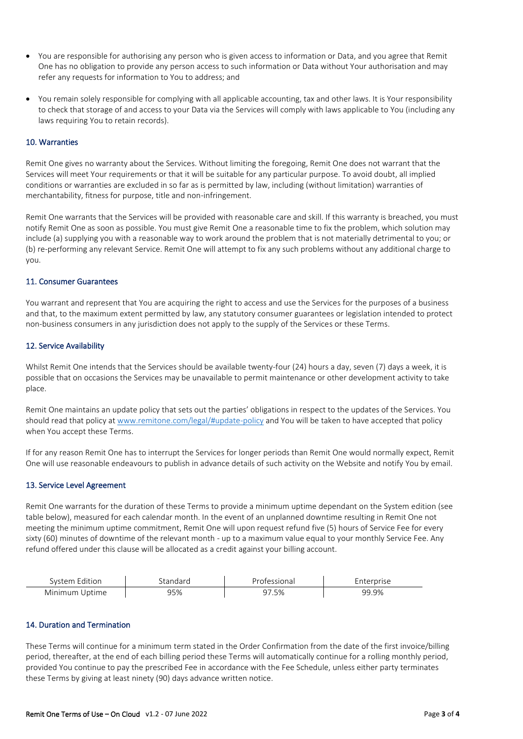- You are responsible for authorising any person who is given access to information or Data, and you agree that Remit One has no obligation to provide any person access to such information or Data without Your authorisation and may refer any requests for information to You to address; and
- You remain solely responsible for complying with all applicable accounting, tax and other laws. It is Your responsibility to check that storage of and access to your Data via the Services will comply with laws applicable to You (including any laws requiring You to retain records).

## 10. Warranties

Remit One gives no warranty about the Services. Without limiting the foregoing, Remit One does not warrant that the Services will meet Your requirements or that it will be suitable for any particular purpose. To avoid doubt, all implied conditions or warranties are excluded in so far as is permitted by law, including (without limitation) warranties of merchantability, fitness for purpose, title and non-infringement.

Remit One warrants that the Services will be provided with reasonable care and skill. If this warranty is breached, you must notify Remit One as soon as possible. You must give Remit One a reasonable time to fix the problem, which solution may include (a) supplying you with a reasonable way to work around the problem that is not materially detrimental to you; or (b) re-performing any relevant Service. Remit One will attempt to fix any such problems without any additional charge to you.

#### 11. Consumer Guarantees

You warrant and represent that You are acquiring the right to access and use the Services for the purposes of a business and that, to the maximum extent permitted by law, any statutory consumer guarantees or legislation intended to protect non-business consumers in any jurisdiction does not apply to the supply of the Services or these Terms.

## 12. Service Availability

Whilst Remit One intends that the Services should be available twenty-four (24) hours a day, seven (7) days a week, it is possible that on occasions the Services may be unavailable to permit maintenance or other development activity to take place.

Remit One maintains an update policy that sets out the parties' obligations in respect to the updates of the Services. You should read that policy at [www.remitone.com/legal/#update-policy](http://www.remitone.com/legal/#update-policy) and You will be taken to have accepted that policy when You accept these Terms.

If for any reason Remit One has to interrupt the Services for longer periods than Remit One would normally expect, Remit One will use reasonable endeavours to publish in advance details of such activity on the Website and notify You by email.

# 13. Service Level Agreement

Remit One warrants for the duration of these Terms to provide a minimum uptime dependant on the System edition (see table below), measured for each calendar month. In the event of an unplanned downtime resulting in Remit One not meeting the minimum uptime commitment, Remit One will upon request refund five (5) hours of Service Fee for every sixty (60) minutes of downtime of the relevant month - up to a maximum value equal to your monthly Service Fee. Any refund offered under this clause will be allocated as a credit against your billing account.

| svstem<br>Edition |     | atessional | <u>ernrise</u> |
|-------------------|-----|------------|----------------|
| Minimum Uptime    | 95% | 7٥. د      | 99.9%          |

## 14. Duration and Termination

These Terms will continue for a minimum term stated in the Order Confirmation from the date of the first invoice/billing period, thereafter, at the end of each billing period these Terms will automatically continue for a rolling monthly period, provided You continue to pay the prescribed Fee in accordance with the Fee Schedule, unless either party terminates these Terms by giving at least ninety (90) days advance written notice.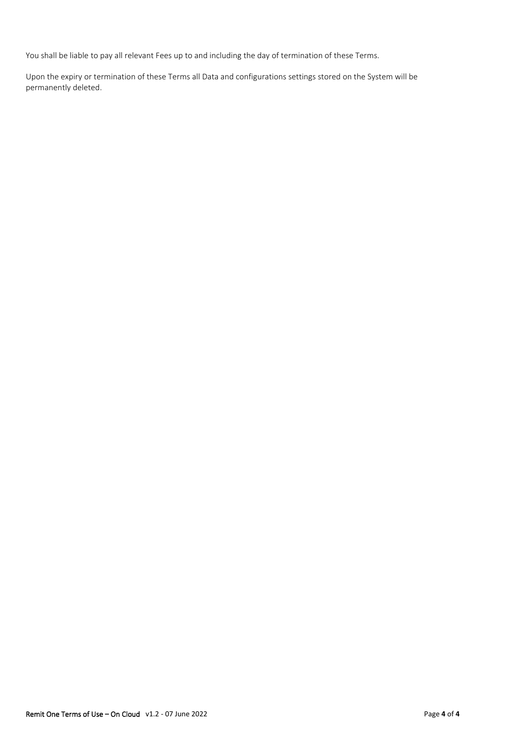You shall be liable to pay all relevant Fees up to and including the day of termination of these Terms.

Upon the expiry or termination of these Terms all Data and configurations settings stored on the System will be permanently deleted.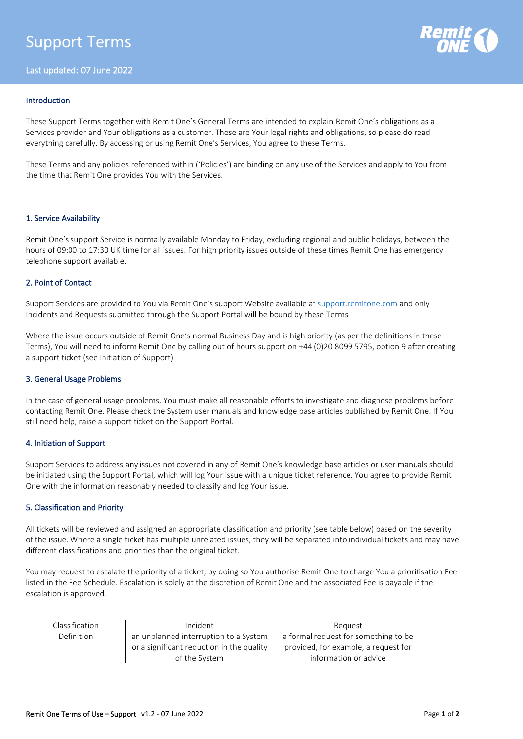

## Introduction

These Support Terms together with Remit One's General Terms are intended to explain Remit One's obligations as a Services provider and Your obligations as a customer. These are Your legal rights and obligations, so please do read everything carefully. By accessing or using Remit One's Services, You agree to these Terms.

These Terms and any policies referenced within ('Policies') are binding on any use of the Services and apply to You from the time that Remit One provides You with the Services.

## 1. Service Availability

Remit One's support Service is normally available Monday to Friday, excluding regional and public holidays, between the hours of 09:00 to 17:30 UK time for all issues. For high priority issues outside of these times Remit One has emergency telephone support available.

# 2. Point of Contact

Support Services are provided to You via Remit One's support Website available at [support.remitone.com](http://support.remitone.com/) and only Incidents and Requests submitted through the Support Portal will be bound by these Terms.

Where the issue occurs outside of Remit One's normal Business Day and is high priority (as per the definitions in these Terms), You will need to inform Remit One by calling out of hours support on +44 (0)20 8099 5795, option 9 after creating a support ticket (see Initiation of Support).

#### 3. General Usage Problems

In the case of general usage problems, You must make all reasonable efforts to investigate and diagnose problems before contacting Remit One. Please check the System user manuals and knowledge base articles published by Remit One. If You still need help, raise a support ticket on the Support Portal.

#### 4. Initiation of Support

Support Services to address any issues not covered in any of Remit One's knowledge base articles or user manuals should be initiated using the Support Portal, which will log Your issue with a unique ticket reference. You agree to provide Remit One with the information reasonably needed to classify and log Your issue.

# 5. Classification and Priority

All tickets will be reviewed and assigned an appropriate classification and priority (see table below) based on the severity of the issue. Where a single ticket has multiple unrelated issues, they will be separated into individual tickets and may have different classifications and priorities than the original ticket.

You may request to escalate the priority of a ticket; by doing so You authorise Remit One to charge You a prioritisation Fee listed in the Fee Schedule. Escalation is solely at the discretion of Remit One and the associated Fee is payable if the escalation is approved.

| Classification    | Incident                                  | Reauest                              |  |
|-------------------|-------------------------------------------|--------------------------------------|--|
| <b>Definition</b> | an unplanned interruption to a System     | a formal request for something to be |  |
|                   | or a significant reduction in the quality | provided, for example, a request for |  |
|                   | of the System                             | information or advice                |  |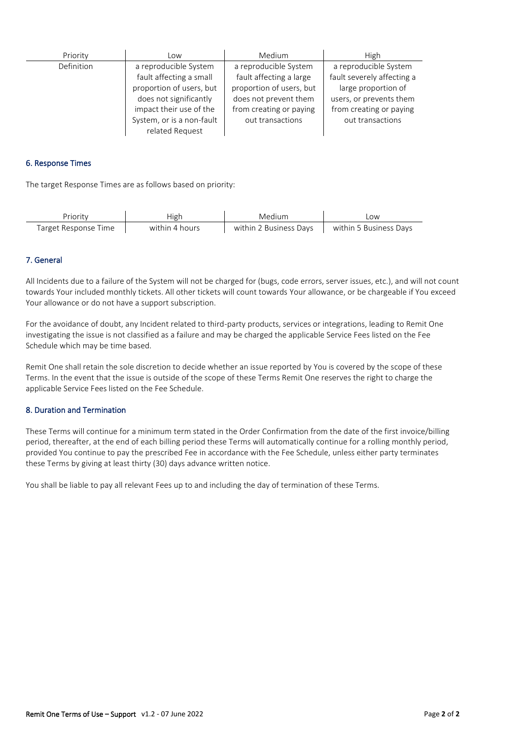| Priority   | Low                                                                                                                               | Medium                                                                                                                           | High                                                                                                                             |
|------------|-----------------------------------------------------------------------------------------------------------------------------------|----------------------------------------------------------------------------------------------------------------------------------|----------------------------------------------------------------------------------------------------------------------------------|
| Definition | a reproducible System<br>fault affecting a small<br>proportion of users, but<br>does not significantly<br>impact their use of the | a reproducible System<br>fault affecting a large<br>proportion of users, but<br>does not prevent them<br>from creating or paying | a reproducible System<br>fault severely affecting a<br>large proportion of<br>users, or prevents them<br>from creating or paying |
|            | System, or is a non-fault<br>related Request                                                                                      | out transactions                                                                                                                 | out transactions                                                                                                                 |

## 6. Response Times

The target Response Times are as follows based on priority:

| Prioritv             | High           | Medium                 | -OW                    |
|----------------------|----------------|------------------------|------------------------|
| Target Response Time | within 4 hours | within 2 Business Days | within 5 Business Davs |

# 7. General

All Incidents due to a failure of the System will not be charged for (bugs, code errors, server issues, etc.), and will not count towards Your included monthly tickets. All other tickets will count towards Your allowance, or be chargeable if You exceed Your allowance or do not have a support subscription.

For the avoidance of doubt, any Incident related to third-party products, services or integrations, leading to Remit One investigating the issue is not classified as a failure and may be charged the applicable Service Fees listed on the Fee Schedule which may be time based.

Remit One shall retain the sole discretion to decide whether an issue reported by You is covered by the scope of these Terms. In the event that the issue is outside of the scope of these Terms Remit One reserves the right to charge the applicable Service Fees listed on the Fee Schedule.

## 8. Duration and Termination

These Terms will continue for a minimum term stated in the Order Confirmation from the date of the first invoice/billing period, thereafter, at the end of each billing period these Terms will automatically continue for a rolling monthly period, provided You continue to pay the prescribed Fee in accordance with the Fee Schedule, unless either party terminates these Terms by giving at least thirty (30) days advance written notice.

You shall be liable to pay all relevant Fees up to and including the day of termination of these Terms.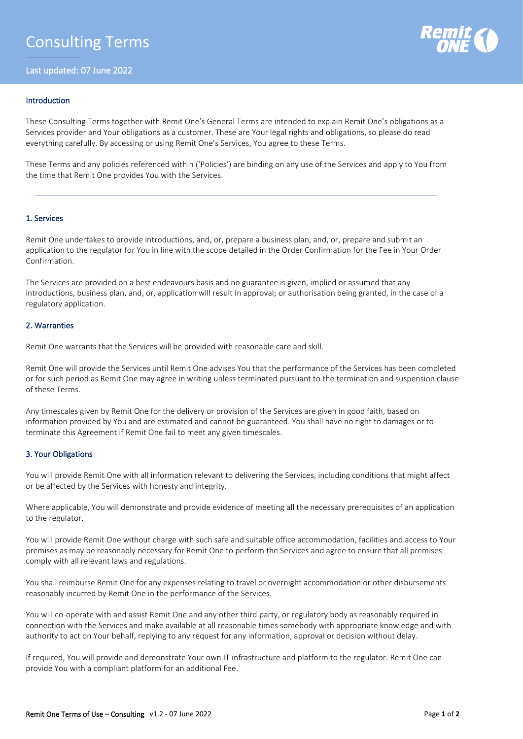Last updated: 07 June 2022



# Introduction

These Consulting Terms together with Remit One's General Terms are intended to explain Remit One's obligations as a Services provider and Your obligations as a customer. These are Your legal rights and obligations, so please do read everything carefully. By accessing or using Remit One's Services, You agree to these Terms.

These Terms and any policies referenced within ('Policies') are binding on any use of the Services and apply to You from the time that Remit One provides You with the Services.

## 1. Services

Remit One undertakes to provide introductions, and, or, prepare a business plan, and, or, prepare and submit an application to the regulator for You in line with the scope detailed in the Order Confirmation for the Fee in Your Order Confirmation.

The Services are provided on a best endeavours basis and no guarantee is given, implied or assumed that any introductions, business plan, and, or, application will result in approval; or authorisation being granted, in the case of a regulatory application.

## 2. Warranties

Remit One warrants that the Services will be provided with reasonable care and skill.

Remit One will provide the Services until Remit One advises You that the performance of the Services has been completed or for such period as Remit One may agree in writing unless terminated pursuant to the termination and suspension clause of these Terms.

Any timescales given by Remit One for the delivery or provision of the Services are given in good faith, based on information provided by You and are estimated and cannot be guaranteed. You shall have no right to damages or to terminate this Agreement if Remit One fail to meet any given timescales.

# 3. Your Obligations

You will provide Remit One with all information relevant to delivering the Services, including conditions that might affect or be affected by the Services with honesty and integrity.

Where applicable, You will demonstrate and provide evidence of meeting all the necessary prerequisites of an application to the regulator.

You will provide Remit One without charge with such safe and suitable office accommodation, facilities and access to Your premises as may be reasonably necessary for Remit One to perform the Services and agree to ensure that all premises comply with all relevant laws and regulations.

You shall reimburse Remit One for any expenses relating to travel or overnight accommodation or other disbursements reasonably incurred by Remit One in the performance of the Services.

You will co-operate with and assist Remit One and any other third party, or regulatory body as reasonably required in connection with the Services and make available at all reasonable times somebody with appropriate knowledge and with authority to act on Your behalf, replying to any request for any information, approval or decision without delay.

If required, You will provide and demonstrate Your own IT infrastructure and platform to the regulator. Remit One can provide You with a compliant platform for an additional Fee.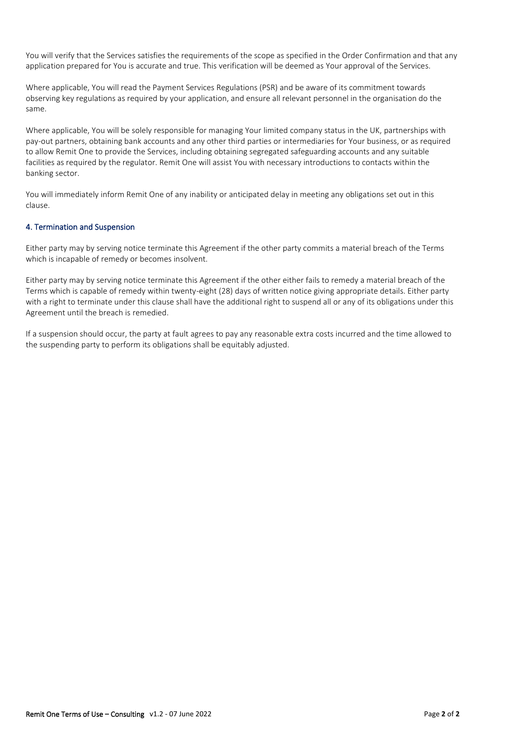You will verify that the Services satisfies the requirements of the scope as specified in the Order Confirmation and that any application prepared for You is accurate and true. This verification will be deemed as Your approval of the Services.

Where applicable, You will read the Payment Services Regulations (PSR) and be aware of its commitment towards observing key regulations as required by your application, and ensure all relevant personnel in the organisation do the same.

Where applicable, You will be solely responsible for managing Your limited company status in the UK, partnerships with pay-out partners, obtaining bank accounts and any other third parties or intermediaries for Your business, or as required to allow Remit One to provide the Services, including obtaining segregated safeguarding accounts and any suitable facilities as required by the regulator. Remit One will assist You with necessary introductions to contacts within the banking sector.

You will immediately inform Remit One of any inability or anticipated delay in meeting any obligations set out in this clause.

# 4. Termination and Suspension

Either party may by serving notice terminate this Agreement if the other party commits a material breach of the Terms which is incapable of remedy or becomes insolvent.

Either party may by serving notice terminate this Agreement if the other either fails to remedy a material breach of the Terms which is capable of remedy within twenty-eight (28) days of written notice giving appropriate details. Either party with a right to terminate under this clause shall have the additional right to suspend all or any of its obligations under this Agreement until the breach is remedied.

If a suspension should occur, the party at fault agrees to pay any reasonable extra costs incurred and the time allowed to the suspending party to perform its obligations shall be equitably adjusted.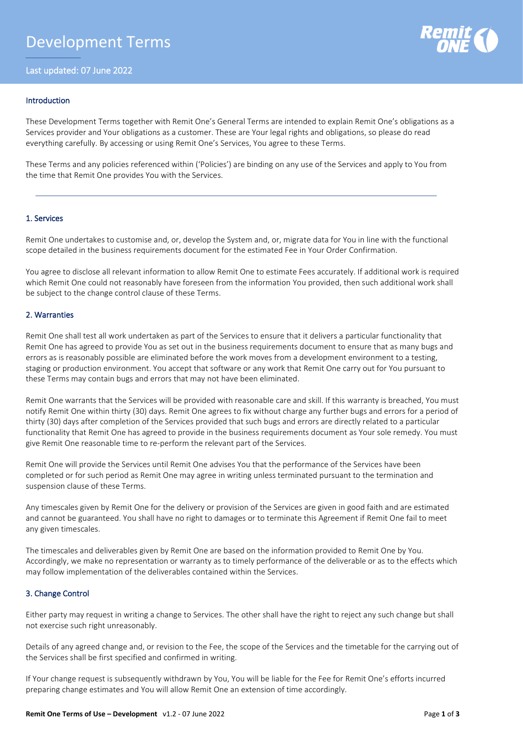# Development Terms

Last updated: 07 June 2022



### Introduction

These Development Terms together with Remit One's General Terms are intended to explain Remit One's obligations as a Services provider and Your obligations as a customer. These are Your legal rights and obligations, so please do read everything carefully. By accessing or using Remit One's Services, You agree to these Terms.

These Terms and any policies referenced within ('Policies') are binding on any use of the Services and apply to You from the time that Remit One provides You with the Services.

## 1. Services

Remit One undertakes to customise and, or, develop the System and, or, migrate data for You in line with the functional scope detailed in the business requirements document for the estimated Fee in Your Order Confirmation.

You agree to disclose all relevant information to allow Remit One to estimate Fees accurately. If additional work is required which Remit One could not reasonably have foreseen from the information You provided, then such additional work shall be subject to the change control clause of these Terms.

## 2. Warranties

Remit One shall test all work undertaken as part of the Services to ensure that it delivers a particular functionality that Remit One has agreed to provide You as set out in the business requirements document to ensure that as many bugs and errors as is reasonably possible are eliminated before the work moves from a development environment to a testing, staging or production environment. You accept that software or any work that Remit One carry out for You pursuant to these Terms may contain bugs and errors that may not have been eliminated.

Remit One warrants that the Services will be provided with reasonable care and skill. If this warranty is breached, You must notify Remit One within thirty (30) days. Remit One agrees to fix without charge any further bugs and errors for a period of thirty (30) days after completion of the Services provided that such bugs and errors are directly related to a particular functionality that Remit One has agreed to provide in the business requirements document as Your sole remedy. You must give Remit One reasonable time to re-perform the relevant part of the Services.

Remit One will provide the Services until Remit One advises You that the performance of the Services have been completed or for such period as Remit One may agree in writing unless terminated pursuant to the termination and suspension clause of these Terms.

Any timescales given by Remit One for the delivery or provision of the Services are given in good faith and are estimated and cannot be guaranteed. You shall have no right to damages or to terminate this Agreement if Remit One fail to meet any given timescales.

The timescales and deliverables given by Remit One are based on the information provided to Remit One by You. Accordingly, we make no representation or warranty as to timely performance of the deliverable or as to the effects which may follow implementation of the deliverables contained within the Services.

# 3. Change Control

Either party may request in writing a change to Services. The other shall have the right to reject any such change but shall not exercise such right unreasonably.

Details of any agreed change and, or revision to the Fee, the scope of the Services and the timetable for the carrying out of the Services shall be first specified and confirmed in writing.

If Your change request is subsequently withdrawn by You, You will be liable for the Fee for Remit One's efforts incurred preparing change estimates and You will allow Remit One an extension of time accordingly.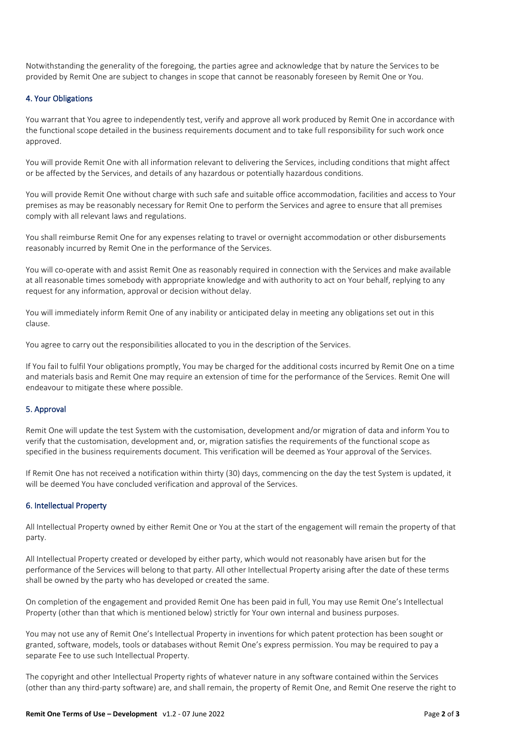Notwithstanding the generality of the foregoing, the parties agree and acknowledge that by nature the Services to be provided by Remit One are subject to changes in scope that cannot be reasonably foreseen by Remit One or You.

# 4. Your Obligations

You warrant that You agree to independently test, verify and approve all work produced by Remit One in accordance with the functional scope detailed in the business requirements document and to take full responsibility for such work once approved.

You will provide Remit One with all information relevant to delivering the Services, including conditions that might affect or be affected by the Services, and details of any hazardous or potentially hazardous conditions.

You will provide Remit One without charge with such safe and suitable office accommodation, facilities and access to Your premises as may be reasonably necessary for Remit One to perform the Services and agree to ensure that all premises comply with all relevant laws and regulations.

You shall reimburse Remit One for any expenses relating to travel or overnight accommodation or other disbursements reasonably incurred by Remit One in the performance of the Services.

You will co-operate with and assist Remit One as reasonably required in connection with the Services and make available at all reasonable times somebody with appropriate knowledge and with authority to act on Your behalf, replying to any request for any information, approval or decision without delay.

You will immediately inform Remit One of any inability or anticipated delay in meeting any obligations set out in this clause.

You agree to carry out the responsibilities allocated to you in the description of the Services.

If You fail to fulfil Your obligations promptly, You may be charged for the additional costs incurred by Remit One on a time and materials basis and Remit One may require an extension of time for the performance of the Services. Remit One will endeavour to mitigate these where possible.

# 5. Approval

Remit One will update the test System with the customisation, development and/or migration of data and inform You to verify that the customisation, development and, or, migration satisfies the requirements of the functional scope as specified in the business requirements document. This verification will be deemed as Your approval of the Services.

If Remit One has not received a notification within thirty (30) days, commencing on the day the test System is updated, it will be deemed You have concluded verification and approval of the Services.

# 6. Intellectual Property

All Intellectual Property owned by either Remit One or You at the start of the engagement will remain the property of that party.

All Intellectual Property created or developed by either party, which would not reasonably have arisen but for the performance of the Services will belong to that party. All other Intellectual Property arising after the date of these terms shall be owned by the party who has developed or created the same.

On completion of the engagement and provided Remit One has been paid in full, You may use Remit One's Intellectual Property (other than that which is mentioned below) strictly for Your own internal and business purposes.

You may not use any of Remit One's Intellectual Property in inventions for which patent protection has been sought or granted, software, models, tools or databases without Remit One's express permission. You may be required to pay a separate Fee to use such Intellectual Property.

The copyright and other Intellectual Property rights of whatever nature in any software contained within the Services (other than any third-party software) are, and shall remain, the property of Remit One, and Remit One reserve the right to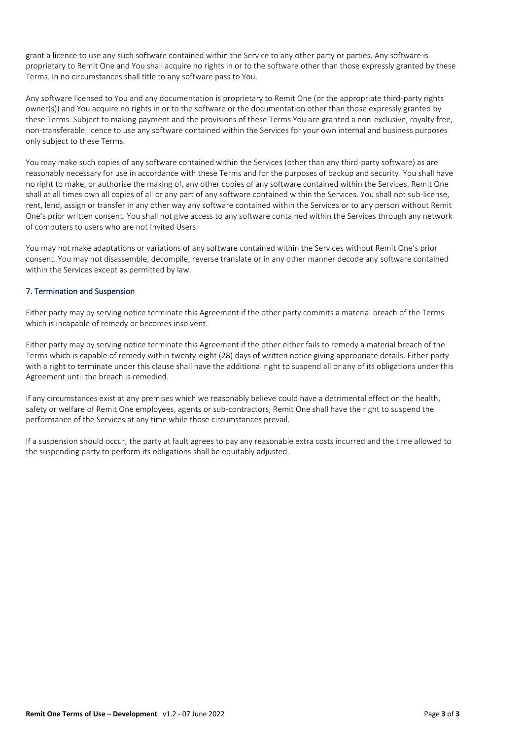grant a licence to use any such software contained within the Service to any other party or parties. Any software is proprietary to Remit One and You shall acquire no rights in or to the software other than those expressly granted by these Terms. In no circumstances shall title to any software pass to You.

Any software licensed to You and any documentation is proprietary to Remit One (or the appropriate third-party rights owner(s)) and You acquire no rights in or to the software or the documentation other than those expressly granted by these Terms. Subject to making payment and the provisions of these Terms You are granted a non-exclusive, royalty free, non-transferable licence to use any software contained within the Services for your own internal and business purposes only subject to these Terms.

You may make such copies of any software contained within the Services (other than any third-party software) as are reasonably necessary for use in accordance with these Terms and for the purposes of backup and security. You shall have no right to make, or authorise the making of, any other copies of any software contained within the Services. Remit One shall at all times own all copies of all or any part of any software contained within the Services. You shall not sub-license, rent, lend, assign or transfer in any other way any software contained within the Services or to any person without Remit One's prior written consent. You shall not give access to any software contained within the Services through any network of computers to users who are not Invited Users.

You may not make adaptations or variations of any software contained within the Services without Remit One's prior consent. You may not disassemble, decompile, reverse translate or in any other manner decode any software contained within the Services except as permitted by law.

# 7. Termination and Suspension

Either party may by serving notice terminate this Agreement if the other party commits a material breach of the Terms which is incapable of remedy or becomes insolvent.

Either party may by serving notice terminate this Agreement if the other either fails to remedy a material breach of the Terms which is capable of remedy within twenty-eight (28) days of written notice giving appropriate details. Either party with a right to terminate under this clause shall have the additional right to suspend all or any of its obligations under this Agreement until the breach is remedied.

If any circumstances exist at any premises which we reasonably believe could have a detrimental effect on the health, safety or welfare of Remit One employees, agents or sub-contractors, Remit One shall have the right to suspend the performance of the Services at any time while those circumstances prevail.

If a suspension should occur, the party at fault agrees to pay any reasonable extra costs incurred and the time allowed to the suspending party to perform its obligations shall be equitably adjusted.